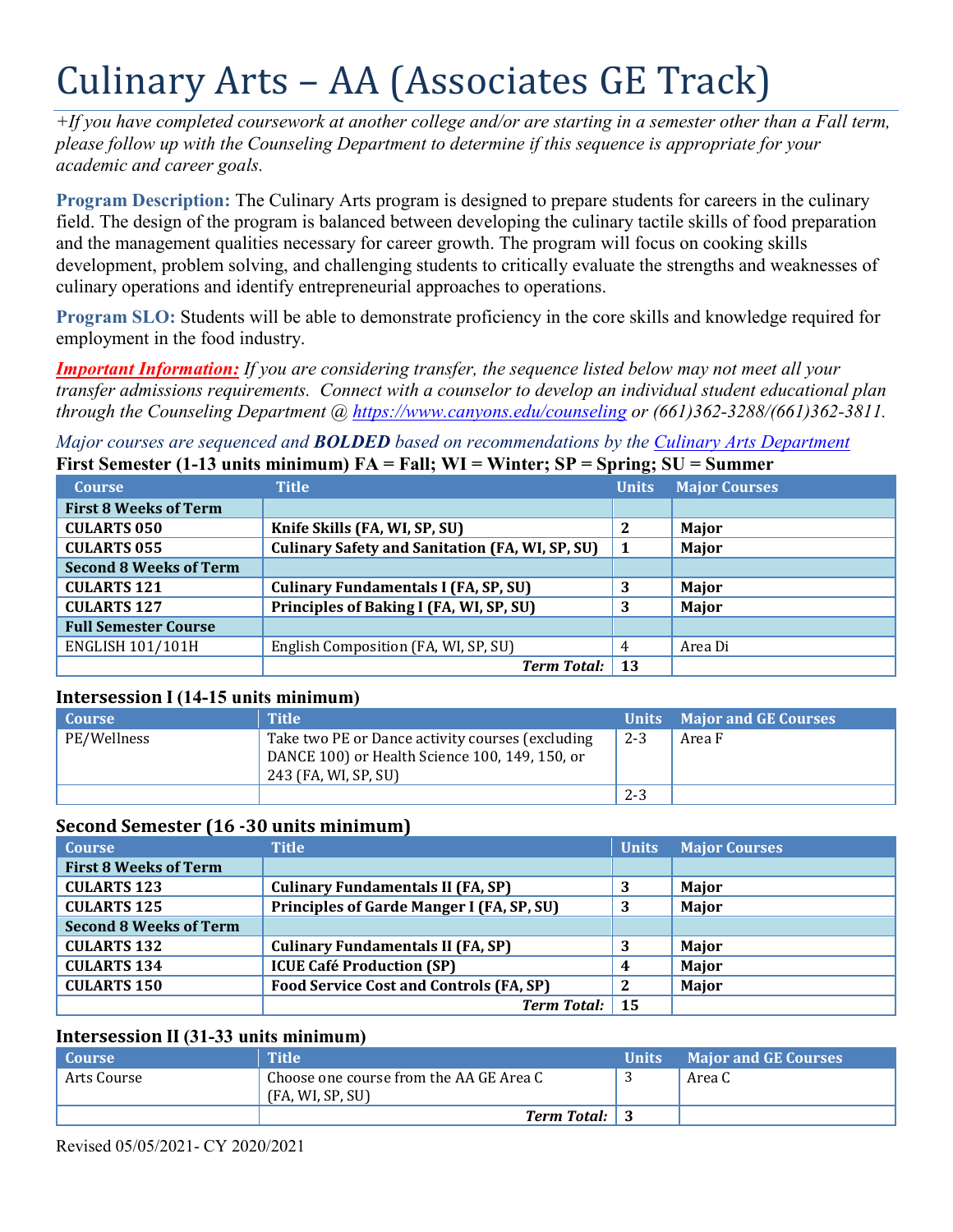# Culinary Arts – AA (Associates GE Track)

*+If you have completed coursework at another college and/or are starting in a semester other than a Fall term, please follow up with the Counseling Department to determine if this sequence is appropriate for your academic and career goals.* 

**Program Description:** The Culinary Arts program is designed to prepare students for careers in the culinary field. The design of the program is balanced between developing the culinary tactile skills of food preparation and the management qualities necessary for career growth. The program will focus on cooking skills development, problem solving, and challenging students to critically evaluate the strengths and weaknesses of culinary operations and identify entrepreneurial approaches to operations.

**Program SLO:** Students will be able to demonstrate proficiency in the core skills and knowledge required for employment in the food industry.

 *through the Counseling Department @ <https://www.canyons.edu/counseling>or (661)362-3288/(661)362-3811. Important Information: If you are considering transfer, the sequence listed below may not meet all your transfer admissions requirements. Connect with a counselor to develop an individual student educational plan* 

 *Major courses are sequenced and BOLDED based on recommendations by the Culinary Arts Department*  First Semester (1-13 units minimum) FA = Fall; WI = Winter: SP = Spring: SU = Summer

|                               |                                                        | $\sim$       |                      |
|-------------------------------|--------------------------------------------------------|--------------|----------------------|
| <b>Course</b>                 | <b>Title</b>                                           | <b>Units</b> | <b>Major Courses</b> |
| <b>First 8 Weeks of Term</b>  |                                                        |              |                      |
| <b>CULARTS 050</b>            | Knife Skills (FA, WI, SP, SU)                          | 2            | Major                |
| <b>CULARTS 055</b>            | <b>Culinary Safety and Sanitation (FA, WI, SP, SU)</b> | - 1          | Major                |
| <b>Second 8 Weeks of Term</b> |                                                        |              |                      |
| <b>CULARTS 121</b>            | <b>Culinary Fundamentals I (FA, SP, SU)</b>            | 3            | Major                |
| <b>CULARTS 127</b>            | Principles of Baking I (FA, WI, SP, SU)                | 3            | Major                |
| <b>Full Semester Course</b>   |                                                        |              |                      |
| <b>ENGLISH 101/101H</b>       | English Composition (FA, WI, SP, SU)                   | 4            | Area Di              |
|                               | <b>Term Total:</b>                                     | -13          |                      |

## **Intersession I (14-15 units minimum)**

| <b>Course</b> | <b>Title</b>                                                                                                               |         | Units Major and GE Courses |
|---------------|----------------------------------------------------------------------------------------------------------------------------|---------|----------------------------|
| PE/Wellness   | Take two PE or Dance activity courses (excluding<br>DANCE 100) or Health Science 100, 149, 150, or<br>243 (FA, WI, SP, SU) | $2 - 3$ | Area F                     |
|               |                                                                                                                            | $2 - 3$ |                            |

| Second Semester (16 - 30 units minimum) |                                                |              |                      |
|-----------------------------------------|------------------------------------------------|--------------|----------------------|
| <b>Course</b>                           | <b>Title</b>                                   | <b>Units</b> | <b>Major Courses</b> |
| <b>First 8 Weeks of Term</b>            |                                                |              |                      |
| <b>CULARTS 123</b>                      | <b>Culinary Fundamentals II (FA, SP)</b>       | 3            | Major                |
| <b>CULARTS 125</b>                      | Principles of Garde Manger I (FA, SP, SU)      |              | Major                |
| <b>Second 8 Weeks of Term</b>           |                                                |              |                      |
| <b>CULARTS 132</b>                      | <b>Culinary Fundamentals II (FA, SP)</b>       | 3            | <b>Major</b>         |
| <b>CULARTS 134</b>                      | <b>ICUE Café Production (SP)</b>               | 4            | Major                |
| <b>CULARTS 150</b>                      | <b>Food Service Cost and Controls (FA, SP)</b> |              | Major                |
|                                         | <b>Term Total:</b>                             | -15          |                      |

## **Intersession II (31-33 units minimum)**

| <b>Course</b> | <b>Title</b>                                                | <b>Units</b> | <b>Major and GE Courses</b> |
|---------------|-------------------------------------------------------------|--------------|-----------------------------|
| Arts Course   | Choose one course from the AA GE Area C<br>(FA, WI, SP, SU) |              | Area C                      |
|               | <b>Term Total:</b> 3                                        |              |                             |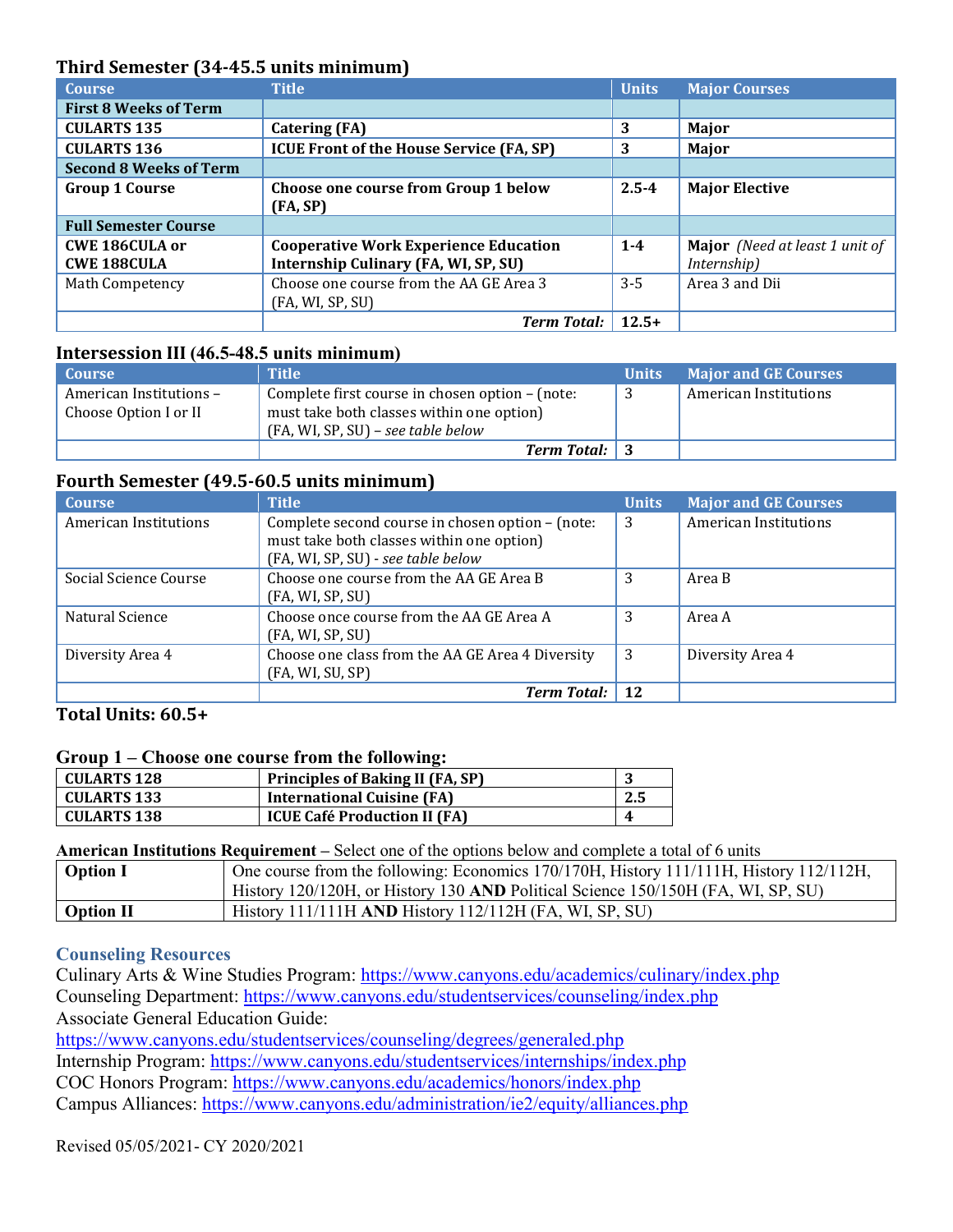| Third Semester (34-45.5 units minimum) |                                                 |              |                                       |
|----------------------------------------|-------------------------------------------------|--------------|---------------------------------------|
| <b>Course</b>                          | <b>Title</b>                                    | <b>Units</b> | <b>Major Courses</b>                  |
| <b>First 8 Weeks of Term</b>           |                                                 |              |                                       |
| <b>CULARTS 135</b>                     | <b>Catering (FA)</b>                            | 3            | Major                                 |
| <b>CULARTS 136</b>                     | <b>ICUE Front of the House Service (FA, SP)</b> | 3            | Major                                 |
| <b>Second 8 Weeks of Term</b>          |                                                 |              |                                       |
| <b>Group 1 Course</b>                  | Choose one course from Group 1 below            | $2.5 - 4$    | <b>Major Elective</b>                 |
|                                        | (FA, SP)                                        |              |                                       |
| <b>Full Semester Course</b>            |                                                 |              |                                       |
| <b>CWE 186CULA or</b>                  | <b>Cooperative Work Experience Education</b>    | $1 - 4$      | <b>Major</b> (Need at least 1 unit of |
| <b>CWE 188CULA</b>                     | Internship Culinary (FA, WI, SP, SU)            |              | Internship)                           |
| Math Competency                        | Choose one course from the AA GE Area 3         | $3 - 5$      | Area 3 and Dii                        |
|                                        | (FA, WI, SP, SU)                                |              |                                       |
|                                        | <b>Term Total:</b>                              | $12.5+$      |                                       |

## **Intersession III (46.5-48.5 units minimum)**

| Course                                           | <b>Title</b>                                                                                                                       | <b>Units</b> | <b>Major and GE Courses</b> |
|--------------------------------------------------|------------------------------------------------------------------------------------------------------------------------------------|--------------|-----------------------------|
| American Institutions -<br>Choose Option I or II | Complete first course in chosen option – (note:<br>must take both classes within one option)<br>(FA, WI, SP, SU) - see table below |              | American Institutions       |
|                                                  | <b>Term Total:</b> 3                                                                                                               |              |                             |

## **Fourth Semester (49.5-60.5 units minimum)**

| <b>Course</b>         | <b>Title</b>                                     | <b>Units</b> | <b>Major and GE Courses</b>  |
|-----------------------|--------------------------------------------------|--------------|------------------------------|
| American Institutions | Complete second course in chosen option - (note: | 3            | <b>American Institutions</b> |
|                       | must take both classes within one option)        |              |                              |
|                       | (FA, WI, SP, SU) - see table below               |              |                              |
| Social Science Course | Choose one course from the AA GE Area B          | 3            | Area B                       |
|                       | (FA, WI, SP, SU)                                 |              |                              |
| Natural Science       | Choose once course from the AA GE Area A         | 3            | Area A                       |
|                       | (FA, WI, SP, SU)                                 |              |                              |
| Diversity Area 4      | Choose one class from the AA GE Area 4 Diversity | 3            | Diversity Area 4             |
|                       | (FA, WI, SU, SP)                                 |              |                              |
|                       | <b>Term Total:</b>                               | 12           |                              |

# **Total Units: 60.5+**

#### **Group 1 – Choose one course from the following:**

| <b>CULARTS 128</b> | <b>Principles of Baking II (FA, SP)</b> |     |
|--------------------|-----------------------------------------|-----|
| <b>CULARTS 133</b> | <b>International Cuisine (FA)</b>       | 2.5 |
| <b>CULARTS 138</b> | <b>ICUE Café Production II (FA)</b>     |     |

#### **American Institutions Requirement –** Select one of the options below and complete a total of 6 units

| <b>Option I</b>  | One course from the following: Economics $170/170H$ , History $111/111H$ , History $112/112H$ , |
|------------------|-------------------------------------------------------------------------------------------------|
|                  | History 120/120H, or History 130 AND Political Science 150/150H (FA, WI, SP, SU)                |
| <b>Option II</b> | History 111/111H AND History 112/112H (FA, WI, SP, SU)                                          |

## **Counseling Resources**

Culinary Arts & Wine Studies Program: <u><https://www.canyons.edu/academics/culinary/index.php></u><br>Counseling Department: <u>https://www.canyons.edu/studentservices/counseling/index.php</u><br>Associate General Education Guide: Counseling Department: https://www.canyons.edu/studentservices/counseling/index.php

<https://www.canyons.edu/studentservices/counseling/degrees/generaled.php>

Internship Program: https://www.canyons.edu/studentservices/internships/index.php

COC Honors Program: https://www.canyons.edu/academics/honors/index.php

Internship Program: <u>https://www.canyons.edu/studentservices/internships/index.php</u><br>COC Honors Program: <u>https://www.canyons.edu/academics/honors/index.php</u><br>Campus Alliances: <u>https://www.canyons.edu/administration/ie2/equ</u>